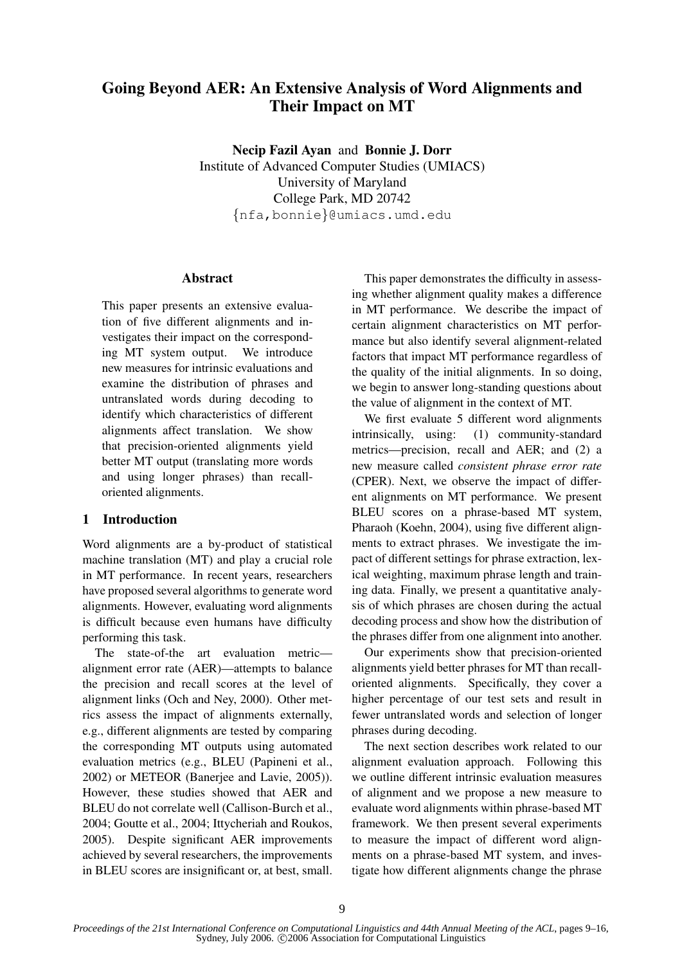# Going Beyond AER: An Extensive Analysis of Word Alignments and Their Impact on MT

Necip Fazil Ayan and Bonnie J. Dorr Institute of Advanced Computer Studies (UMIACS) University of Maryland College Park, MD 20742 {nfa,bonnie}@umiacs.umd.edu

### Abstract

This paper presents an extensive evaluation of five different alignments and investigates their impact on the corresponding MT system output. We introduce new measures for intrinsic evaluations and examine the distribution of phrases and untranslated words during decoding to identify which characteristics of different alignments affect translation. We show that precision-oriented alignments yield better MT output (translating more words and using longer phrases) than recalloriented alignments.

# 1 Introduction

Word alignments are a by-product of statistical machine translation (MT) and play a crucial role in MT performance. In recent years, researchers have proposed several algorithms to generate word alignments. However, evaluating word alignments is difficult because even humans have difficulty performing this task.

The state-of-the art evaluation metric alignment error rate (AER)—attempts to balance the precision and recall scores at the level of alignment links (Och and Ney, 2000). Other metrics assess the impact of alignments externally, e.g., different alignments are tested by comparing the corresponding MT outputs using automated evaluation metrics (e.g., BLEU (Papineni et al., 2002) or METEOR (Banerjee and Lavie, 2005)). However, these studies showed that AER and BLEU do not correlate well (Callison-Burch et al., 2004; Goutte et al., 2004; Ittycheriah and Roukos, 2005). Despite significant AER improvements achieved by several researchers, the improvements in BLEU scores are insignificant or, at best, small.

This paper demonstrates the difficulty in assessing whether alignment quality makes a difference in MT performance. We describe the impact of certain alignment characteristics on MT performance but also identify several alignment-related factors that impact MT performance regardless of the quality of the initial alignments. In so doing, we begin to answer long-standing questions about the value of alignment in the context of MT.

We first evaluate 5 different word alignments intrinsically, using: (1) community-standard metrics—precision, recall and AER; and (2) a new measure called *consistent phrase error rate* (CPER). Next, we observe the impact of different alignments on MT performance. We present BLEU scores on a phrase-based MT system, Pharaoh (Koehn, 2004), using five different alignments to extract phrases. We investigate the impact of different settings for phrase extraction, lexical weighting, maximum phrase length and training data. Finally, we present a quantitative analysis of which phrases are chosen during the actual decoding process and show how the distribution of the phrases differ from one alignment into another.

Our experiments show that precision-oriented alignments yield better phrases for MT than recalloriented alignments. Specifically, they cover a higher percentage of our test sets and result in fewer untranslated words and selection of longer phrases during decoding.

The next section describes work related to our alignment evaluation approach. Following this we outline different intrinsic evaluation measures of alignment and we propose a new measure to evaluate word alignments within phrase-based MT framework. We then present several experiments to measure the impact of different word alignments on a phrase-based MT system, and investigate how different alignments change the phrase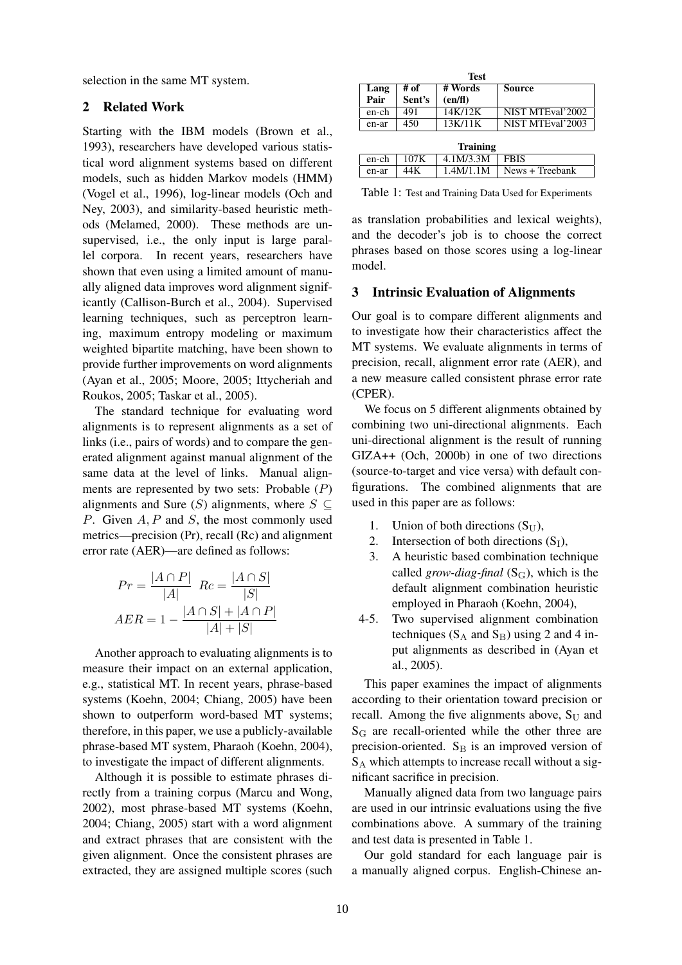selection in the same MT system.

# 2 Related Work

Starting with the IBM models (Brown et al., 1993), researchers have developed various statistical word alignment systems based on different models, such as hidden Markov models (HMM) (Vogel et al., 1996), log-linear models (Och and Ney, 2003), and similarity-based heuristic methods (Melamed, 2000). These methods are unsupervised, i.e., the only input is large parallel corpora. In recent years, researchers have shown that even using a limited amount of manually aligned data improves word alignment significantly (Callison-Burch et al., 2004). Supervised learning techniques, such as perceptron learning, maximum entropy modeling or maximum weighted bipartite matching, have been shown to provide further improvements on word alignments (Ayan et al., 2005; Moore, 2005; Ittycheriah and Roukos, 2005; Taskar et al., 2005).

The standard technique for evaluating word alignments is to represent alignments as a set of links (i.e., pairs of words) and to compare the generated alignment against manual alignment of the same data at the level of links. Manual alignments are represented by two sets: Probable  $(P)$ alignments and Sure (S) alignments, where  $S \subseteq$ P. Given A, P and S, the most commonly used metrics—precision (Pr), recall (Rc) and alignment error rate (AER)—are defined as follows:

$$
Pr = \frac{|A \cap P|}{|A|} \quad Re = \frac{|A \cap S|}{|S|}
$$

$$
AER = 1 - \frac{|A \cap S| + |A \cap P|}{|A| + |S|}
$$

Another approach to evaluating alignments is to measure their impact on an external application, e.g., statistical MT. In recent years, phrase-based systems (Koehn, 2004; Chiang, 2005) have been shown to outperform word-based MT systems; therefore, in this paper, we use a publicly-available phrase-based MT system, Pharaoh (Koehn, 2004), to investigate the impact of different alignments.

Although it is possible to estimate phrases directly from a training corpus (Marcu and Wong, 2002), most phrase-based MT systems (Koehn, 2004; Chiang, 2005) start with a word alignment and extract phrases that are consistent with the given alignment. Once the consistent phrases are extracted, they are assigned multiple scores (such

| <b>Test</b>  |                 |                    |                  |  |  |  |
|--------------|-----------------|--------------------|------------------|--|--|--|
| Lang<br>Pair | # of<br>Sent's  | # Words<br>(en/fl) | Source           |  |  |  |
| en-ch        | 491             | 14K/12K            | NIST MTEval'2002 |  |  |  |
| en-ar        | 450             | 13K/11K            | NIST MTEval'2003 |  |  |  |
|              | <b>Training</b> |                    |                  |  |  |  |
| en-ch        | 107K            | 4.1M/3.3M          | <b>FBIS</b>      |  |  |  |
| en-ar        | 44K             | 1.4M/1.1M          | News + Treebank  |  |  |  |

|                   |  | en-ch   $107K$   $4.1M/3.3M$   FBIS |                                         |  |  |  |  |
|-------------------|--|-------------------------------------|-----------------------------------------|--|--|--|--|
| en-ar $\vert$ 44K |  |                                     | $\mid$ 1.4M/1.1M $\mid$ News + Treebank |  |  |  |  |
|                   |  |                                     |                                         |  |  |  |  |

Table 1: Test and Training Data Used for Experiments

as translation probabilities and lexical weights), and the decoder's job is to choose the correct phrases based on those scores using a log-linear model.

## 3 Intrinsic Evaluation of Alignments

Our goal is to compare different alignments and to investigate how their characteristics affect the MT systems. We evaluate alignments in terms of precision, recall, alignment error rate (AER), and a new measure called consistent phrase error rate (CPER).

We focus on 5 different alignments obtained by combining two uni-directional alignments. Each uni-directional alignment is the result of running GIZA++ (Och, 2000b) in one of two directions (source-to-target and vice versa) with default configurations. The combined alignments that are used in this paper are as follows:

- 1. Union of both directions  $(S_{U})$ ,
- 2. Intersection of both directions  $(S_I)$ ,
- 3. A heuristic based combination technique called *grow-diag-final*  $(S_G)$ , which is the default alignment combination heuristic employed in Pharaoh (Koehn, 2004),
- 4-5. Two supervised alignment combination techniques ( $S_A$  and  $S_B$ ) using 2 and 4 input alignments as described in (Ayan et al., 2005).

This paper examines the impact of alignments according to their orientation toward precision or recall. Among the five alignments above,  $S_{U}$  and  $S_G$  are recall-oriented while the other three are precision-oriented.  $S_B$  is an improved version of  $S_A$  which attempts to increase recall without a significant sacrifice in precision.

Manually aligned data from two language pairs are used in our intrinsic evaluations using the five combinations above. A summary of the training and test data is presented in Table 1.

Our gold standard for each language pair is a manually aligned corpus. English-Chinese an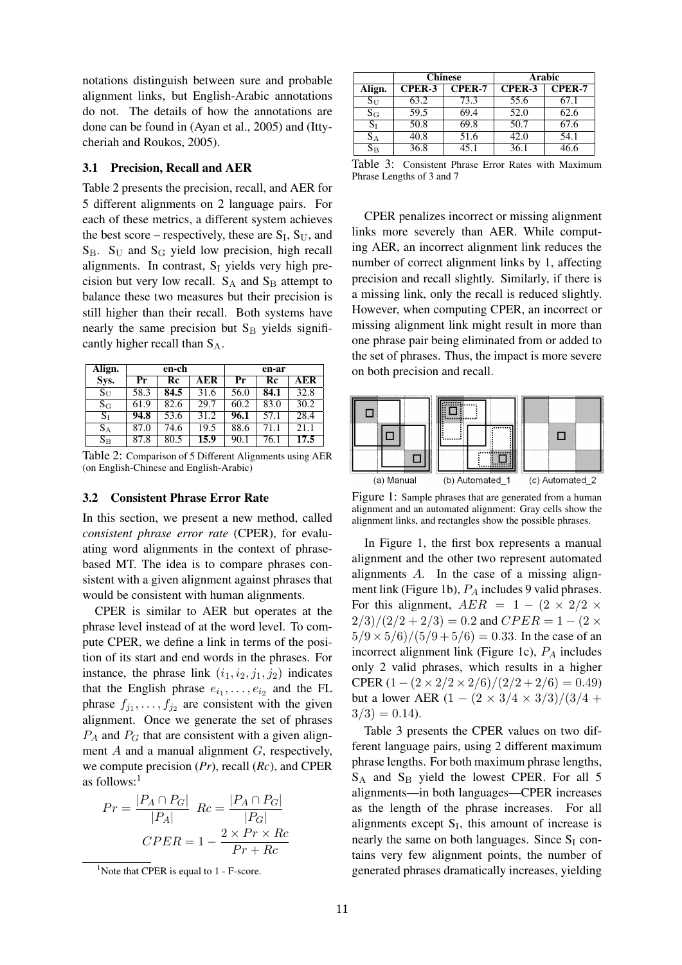notations distinguish between sure and probable alignment links, but English-Arabic annotations do not. The details of how the annotations are done can be found in (Ayan et al., 2005) and (Ittycheriah and Roukos, 2005).

## 3.1 Precision, Recall and AER

Table 2 presents the precision, recall, and AER for 5 different alignments on 2 language pairs. For each of these metrics, a different system achieves the best score – respectively, these are  $S_I$ ,  $S_U$ , and  $S_{\text{B}}$ .  $S_{\text{U}}$  and  $S_{\text{G}}$  yield low precision, high recall alignments. In contrast,  $S_I$  yields very high precision but very low recall.  $S_A$  and  $S_B$  attempt to balance these two measures but their precision is still higher than their recall. Both systems have nearly the same precision but  $S_B$  yields significantly higher recall than SA.

| Align.      | en-ch                     |      |      | en-ar   |                        |                   |
|-------------|---------------------------|------|------|---------|------------------------|-------------------|
| Sys.        | $\overline{\mathbf{P}}$ r | Rc   | AER  | $P_{r}$ | $\overline{\text{Re}}$ | AER               |
| $S_{U}$     | 58.3                      | 84.5 | 31.6 | 56.0    | 84.1                   | 32.8              |
| $\rm S_G$   | 61.9                      | 82.6 | 29.7 | 60.2    | 83.0                   | 30.2              |
| $S_{I}$     | 94.8                      | 53.6 | 31.2 | 96.1    | 57.1                   | 28.4              |
| $S_A$       | 87.0                      | 74.6 | 19.5 | 88.6    | 71.1                   | $\overline{21.1}$ |
| $S_{\rm B}$ | 87.8                      | 80.5 | 15.9 | 90.1    | 76.1                   | 17.5              |

Table 2: Comparison of 5 Different Alignments using AER (on English-Chinese and English-Arabic)

#### 3.2 Consistent Phrase Error Rate

In this section, we present a new method, called *consistent phrase error rate* (CPER), for evaluating word alignments in the context of phrasebased MT. The idea is to compare phrases consistent with a given alignment against phrases that would be consistent with human alignments.

CPER is similar to AER but operates at the phrase level instead of at the word level. To compute CPER, we define a link in terms of the position of its start and end words in the phrases. For instance, the phrase link  $(i_1, i_2, j_1, j_2)$  indicates that the English phrase  $e_{i_1}, \ldots, e_{i_2}$  and the FL phrase  $f_{j_1}, \ldots, f_{j_2}$  are consistent with the given alignment. Once we generate the set of phrases  $P_A$  and  $P_G$  that are consistent with a given alignment A and a manual alignment G, respectively, we compute precision (*Pr*), recall (*Rc*), and CPER as follows: $<sup>1</sup>$ </sup>

$$
Pr = \frac{|P_A \cap P_G|}{|P_A|} \quad Re = \frac{|P_A \cap P_G|}{|P_G|}
$$

$$
CPER = 1 - \frac{2 \times Pr \times Re}{Pr + Re}
$$

|                           |               | <b>Chinese</b> | Arabic        |               |
|---------------------------|---------------|----------------|---------------|---------------|
| Align.                    | <b>CPER-3</b> | <b>CPER-7</b>  | <b>CPER-3</b> | <b>CPER-7</b> |
| $\mathrm{S}_{\mathrm{U}}$ | 63.2          | 73.3           | 55.6          | 67.1          |
| $S_G$                     | 59.5          | 69.4           | 52.0          | 62.6          |
| $S_I$                     | 50.8          | 69.8           | 50.7          | 67.6          |
| $S_A$                     | 40.8          | 51.6           | 42.0          | 54.1          |
| $\rm S_{\rm B}$           | 36.8          | 45.1           | 36.1          |               |

Table 3: Consistent Phrase Error Rates with Maximum Phrase Lengths of 3 and 7

CPER penalizes incorrect or missing alignment links more severely than AER. While computing AER, an incorrect alignment link reduces the number of correct alignment links by 1, affecting precision and recall slightly. Similarly, if there is a missing link, only the recall is reduced slightly. However, when computing CPER, an incorrect or missing alignment link might result in more than one phrase pair being eliminated from or added to the set of phrases. Thus, the impact is more severe on both precision and recall.



Figure 1: Sample phrases that are generated from a human alignment and an automated alignment: Gray cells show the alignment links, and rectangles show the possible phrases.

In Figure 1, the first box represents a manual alignment and the other two represent automated alignments A. In the case of a missing alignment link (Figure 1b),  $P_A$  includes 9 valid phrases. For this alignment,  $AER = 1 - (2 \times 2/2 \times$  $2/3)/(2/2 + 2/3) = 0.2$  and  $CPER = 1 - (2 \times$  $5/9 \times 5/6$  $/(5/9 + 5/6) = 0.33$ . In the case of an incorrect alignment link (Figure 1c),  $P_A$  includes only 2 valid phrases, which results in a higher CPER  $(1 - (2 \times 2/2 \times 2/6)/(2/2 + 2/6) = 0.49$ but a lower AER  $(1 - (2 \times 3/4 \times 3/3)/(3/4 +$  $3/3$  = 0.14).

Table 3 presents the CPER values on two different language pairs, using 2 different maximum phrase lengths. For both maximum phrase lengths,  $S_A$  and  $S_B$  yield the lowest CPER. For all 5 alignments—in both languages—CPER increases as the length of the phrase increases. For all alignments except  $S_I$ , this amount of increase is nearly the same on both languages. Since  $S_I$  contains very few alignment points, the number of generated phrases dramatically increases, yielding

<sup>&</sup>lt;sup>1</sup>Note that CPER is equal to  $1 - F$ -score.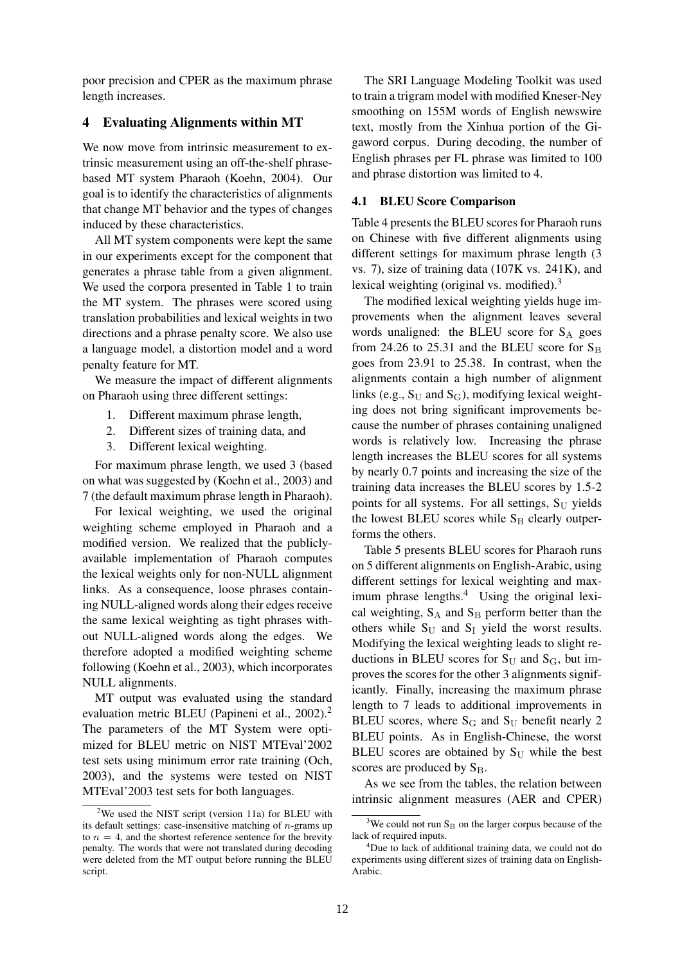poor precision and CPER as the maximum phrase length increases.

# 4 Evaluating Alignments within MT

We now move from intrinsic measurement to extrinsic measurement using an off-the-shelf phrasebased MT system Pharaoh (Koehn, 2004). Our goal is to identify the characteristics of alignments that change MT behavior and the types of changes induced by these characteristics.

All MT system components were kept the same in our experiments except for the component that generates a phrase table from a given alignment. We used the corpora presented in Table 1 to train the MT system. The phrases were scored using translation probabilities and lexical weights in two directions and a phrase penalty score. We also use a language model, a distortion model and a word penalty feature for MT.

We measure the impact of different alignments on Pharaoh using three different settings:

- 1. Different maximum phrase length,
- 2. Different sizes of training data, and
- 3. Different lexical weighting.

For maximum phrase length, we used 3 (based on what was suggested by (Koehn et al., 2003) and 7 (the default maximum phrase length in Pharaoh).

For lexical weighting, we used the original weighting scheme employed in Pharaoh and a modified version. We realized that the publiclyavailable implementation of Pharaoh computes the lexical weights only for non-NULL alignment links. As a consequence, loose phrases containing NULL-aligned words along their edges receive the same lexical weighting as tight phrases without NULL-aligned words along the edges. We therefore adopted a modified weighting scheme following (Koehn et al., 2003), which incorporates NULL alignments.

MT output was evaluated using the standard evaluation metric BLEU (Papineni et al., 2002).<sup>2</sup> The parameters of the MT System were optimized for BLEU metric on NIST MTEval'2002 test sets using minimum error rate training (Och, 2003), and the systems were tested on NIST MTEval'2003 test sets for both languages.

The SRI Language Modeling Toolkit was used to train a trigram model with modified Kneser-Ney smoothing on 155M words of English newswire text, mostly from the Xinhua portion of the Gigaword corpus. During decoding, the number of English phrases per FL phrase was limited to 100 and phrase distortion was limited to 4.

#### 4.1 BLEU Score Comparison

Table 4 presents the BLEU scores for Pharaoh runs on Chinese with five different alignments using different settings for maximum phrase length (3 vs. 7), size of training data (107K vs. 241K), and lexical weighting (original vs. modified).<sup>3</sup>

The modified lexical weighting yields huge improvements when the alignment leaves several words unaligned: the BLEU score for  $S_A$  goes from 24.26 to 25.31 and the BLEU score for  $S_B$ goes from 23.91 to 25.38. In contrast, when the alignments contain a high number of alignment links (e.g.,  $S_U$  and  $S_G$ ), modifying lexical weighting does not bring significant improvements because the number of phrases containing unaligned words is relatively low. Increasing the phrase length increases the BLEU scores for all systems by nearly 0.7 points and increasing the size of the training data increases the BLEU scores by 1.5-2 points for all systems. For all settings,  $S_{U}$  yields the lowest BLEU scores while  $S_B$  clearly outperforms the others.

Table 5 presents BLEU scores for Pharaoh runs on 5 different alignments on English-Arabic, using different settings for lexical weighting and maximum phrase lengths.<sup>4</sup> Using the original lexical weighting,  $S_A$  and  $S_B$  perform better than the others while  $S_U$  and  $S_I$  yield the worst results. Modifying the lexical weighting leads to slight reductions in BLEU scores for  $S_U$  and  $S_G$ , but improves the scores for the other 3 alignments significantly. Finally, increasing the maximum phrase length to 7 leads to additional improvements in BLEU scores, where  $S_G$  and  $S_U$  benefit nearly 2 BLEU points. As in English-Chinese, the worst BLEU scores are obtained by  $S_{U}$  while the best scores are produced by  $S_B$ .

As we see from the tables, the relation between intrinsic alignment measures (AER and CPER)

<sup>&</sup>lt;sup>2</sup>We used the NIST script (version 11a) for BLEU with its default settings: case-insensitive matching of  $n$ -grams up to  $n = 4$ , and the shortest reference sentence for the brevity penalty. The words that were not translated during decoding were deleted from the MT output before running the BLEU script.

 $3$ We could not run S<sub>B</sub> on the larger corpus because of the lack of required inputs.

<sup>&</sup>lt;sup>4</sup>Due to lack of additional training data, we could not do experiments using different sizes of training data on English-Arabic.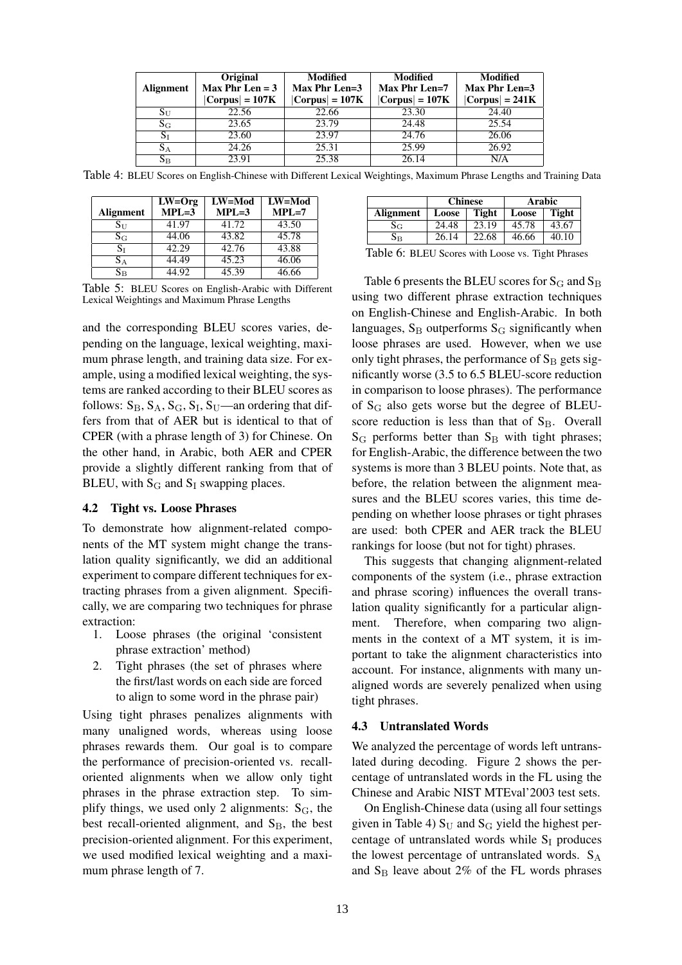|                  | Original          |                   | Modified          |                   | Modified | Modified |
|------------------|-------------------|-------------------|-------------------|-------------------|----------|----------|
| <b>Alignment</b> | Max Phr Len $=$ 3 | Max Phr Len=3     | Max Phr Len=7     | Max Phr Len= $3$  |          |          |
|                  | $ Corpus  = 107K$ | $ Corpus  = 107K$ | $ Corpus  = 107K$ | $ Corpus  = 241K$ |          |          |
| $S_{\rm U}$      | 22.56             | 22.66             | 23.30             | 24.40             |          |          |
| $S_{\rm G}$      | 23.65             | 23.79             | 24.48             | 25.54             |          |          |
| $S_{I}$          | 23.60             | 23.97             | 24.76             | 26.06             |          |          |
| $S_A$            | 24.26             | 25.31             | 25.99             | 26.92             |          |          |
| $S_{\rm B}$      | 23.91             | 25.38             | 26.14             | N/A               |          |          |

Table 4: BLEU Scores on English-Chinese with Different Lexical Weightings, Maximum Phrase Lengths and Training Data

|                  | $LW = Org$ | LW=Mod  | $LW = Mod$ |
|------------------|------------|---------|------------|
| <b>Alignment</b> | $MPL=3$    | $MPL=3$ | $MPL=7$    |
| $S_{\rm U}$      | 41.97      | 41.72   | 43.50      |
| $S_G$            | 44.06      | 43.82   | 45.78      |
| $S_I$            | 42.29      | 42.76   | 43.88      |
| $S_A$            | 44.49      | 45.23   | 46.06      |
| $\rm S_{\rm B}$  | 44.92      | 45.39   | 46.66      |

Table 5: BLEU Scores on English-Arabic with Different Lexical Weightings and Maximum Phrase Lengths

and the corresponding BLEU scores varies, depending on the language, lexical weighting, maximum phrase length, and training data size. For example, using a modified lexical weighting, the systems are ranked according to their BLEU scores as follows:  $S_B$ ,  $S_A$ ,  $S_G$ ,  $S_I$ ,  $S_U$ —an ordering that differs from that of AER but is identical to that of CPER (with a phrase length of 3) for Chinese. On the other hand, in Arabic, both AER and CPER provide a slightly different ranking from that of BLEU, with  $S_G$  and  $S_I$  swapping places.

### 4.2 Tight vs. Loose Phrases

To demonstrate how alignment-related components of the MT system might change the translation quality significantly, we did an additional experiment to compare different techniques for extracting phrases from a given alignment. Specifically, we are comparing two techniques for phrase extraction:

- 1. Loose phrases (the original 'consistent phrase extraction' method)
- 2. Tight phrases (the set of phrases where the first/last words on each side are forced to align to some word in the phrase pair)

Using tight phrases penalizes alignments with many unaligned words, whereas using loose phrases rewards them. Our goal is to compare the performance of precision-oriented vs. recalloriented alignments when we allow only tight phrases in the phrase extraction step. To simplify things, we used only 2 alignments:  $S_G$ , the best recall-oriented alignment, and  $S_B$ , the best precision-oriented alignment. For this experiment, we used modified lexical weighting and a maximum phrase length of 7.

|             | <b>Chinese</b> |       | Arabic |              |
|-------------|----------------|-------|--------|--------------|
| Alignment   | Tight<br>Loose |       | Loose  | <b>Tight</b> |
| $\rm Sc$    | 24.48          | 23.19 | 45.78  | 43.67        |
| $\rm S_{B}$ | 26.14          | 22.68 | 46.66  | 40.10        |

Table 6: BLEU Scores with Loose vs. Tight Phrases

Table 6 presents the BLEU scores for  $S_G$  and  $S_B$ using two different phrase extraction techniques on English-Chinese and English-Arabic. In both languages,  $S_B$  outperforms  $S_G$  significantly when loose phrases are used. However, when we use only tight phrases, the performance of  $S_B$  gets significantly worse (3.5 to 6.5 BLEU-score reduction in comparison to loose phrases). The performance of S<sup>G</sup> also gets worse but the degree of BLEUscore reduction is less than that of  $S_B$ . Overall  $S_G$  performs better than  $S_B$  with tight phrases; for English-Arabic, the difference between the two systems is more than 3 BLEU points. Note that, as before, the relation between the alignment measures and the BLEU scores varies, this time depending on whether loose phrases or tight phrases are used: both CPER and AER track the BLEU rankings for loose (but not for tight) phrases.

This suggests that changing alignment-related components of the system (i.e., phrase extraction and phrase scoring) influences the overall translation quality significantly for a particular alignment. Therefore, when comparing two alignments in the context of a MT system, it is important to take the alignment characteristics into account. For instance, alignments with many unaligned words are severely penalized when using tight phrases.

#### 4.3 Untranslated Words

We analyzed the percentage of words left untranslated during decoding. Figure 2 shows the percentage of untranslated words in the FL using the Chinese and Arabic NIST MTEval'2003 test sets.

On English-Chinese data (using all four settings given in Table 4)  $S_U$  and  $S_G$  yield the highest percentage of untranslated words while  $S_I$  produces the lowest percentage of untranslated words.  $S_A$ and  $S_B$  leave about 2% of the FL words phrases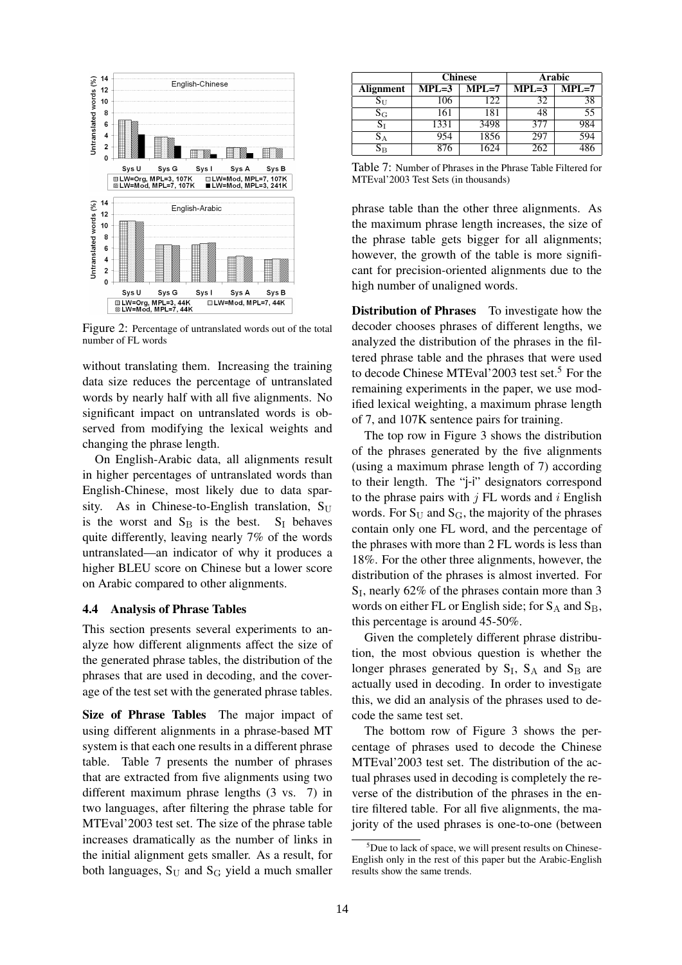

Figure 2: Percentage of untranslated words out of the total number of FL words

without translating them. Increasing the training data size reduces the percentage of untranslated words by nearly half with all five alignments. No significant impact on untranslated words is observed from modifying the lexical weights and changing the phrase length.

On English-Arabic data, all alignments result in higher percentages of untranslated words than English-Chinese, most likely due to data sparsity. As in Chinese-to-English translation,  $S_{U}$ is the worst and  $S_B$  is the best.  $S_I$  behaves quite differently, leaving nearly 7% of the words untranslated—an indicator of why it produces a higher BLEU score on Chinese but a lower score on Arabic compared to other alignments.

### 4.4 Analysis of Phrase Tables

This section presents several experiments to analyze how different alignments affect the size of the generated phrase tables, the distribution of the phrases that are used in decoding, and the coverage of the test set with the generated phrase tables.

Size of Phrase Tables The major impact of using different alignments in a phrase-based MT system is that each one results in a different phrase table. Table 7 presents the number of phrases that are extracted from five alignments using two different maximum phrase lengths (3 vs. 7) in two languages, after filtering the phrase table for MTEval'2003 test set. The size of the phrase table increases dramatically as the number of links in the initial alignment gets smaller. As a result, for both languages,  $S_U$  and  $S_G$  yield a much smaller

|                         |                                       | <b>Chinese</b> |                  | <b>Arabic</b> |
|-------------------------|---------------------------------------|----------------|------------------|---------------|
| Alignment               | $\overline{\text{MPL}}$ =7<br>$MPL=3$ |                | $MPL=3$          | $MPL=7$       |
| $S_{\mathrm{U}}$        | 106                                   | 122            | 32               | 38            |
| $S_G$                   | 161                                   | 181            | 48               | 55            |
| $\mathrm{S}_\mathrm{I}$ | 1331                                  | 3498           | 377              | 984           |
| $S_A$                   |                                       | 1856           | 297              | 594           |
| $\rm S_{\rm B}$         |                                       | 624            | $26\overline{2}$ |               |

Table 7: Number of Phrases in the Phrase Table Filtered for MTEval'2003 Test Sets (in thousands)

phrase table than the other three alignments. As the maximum phrase length increases, the size of the phrase table gets bigger for all alignments; however, the growth of the table is more significant for precision-oriented alignments due to the high number of unaligned words.

Distribution of Phrases To investigate how the decoder chooses phrases of different lengths, we analyzed the distribution of the phrases in the filtered phrase table and the phrases that were used to decode Chinese MTEval'2003 test set.<sup>5</sup> For the remaining experiments in the paper, we use modified lexical weighting, a maximum phrase length of 7, and 107K sentence pairs for training.

The top row in Figure 3 shows the distribution of the phrases generated by the five alignments (using a maximum phrase length of 7) according to their length. The "j-i" designators correspond to the phrase pairs with  $i$  FL words and  $i$  English words. For  $S_U$  and  $S_G$ , the majority of the phrases contain only one FL word, and the percentage of the phrases with more than 2 FL words is less than 18%. For the other three alignments, however, the distribution of the phrases is almost inverted. For S<sub>I</sub>, nearly 62% of the phrases contain more than 3 words on either FL or English side; for  $S_A$  and  $S_B$ , this percentage is around 45-50%.

Given the completely different phrase distribution, the most obvious question is whether the longer phrases generated by  $S_I$ ,  $S_A$  and  $S_B$  are actually used in decoding. In order to investigate this, we did an analysis of the phrases used to decode the same test set.

The bottom row of Figure 3 shows the percentage of phrases used to decode the Chinese MTEval'2003 test set. The distribution of the actual phrases used in decoding is completely the reverse of the distribution of the phrases in the entire filtered table. For all five alignments, the majority of the used phrases is one-to-one (between

 $5$ Due to lack of space, we will present results on Chinese-English only in the rest of this paper but the Arabic-English results show the same trends.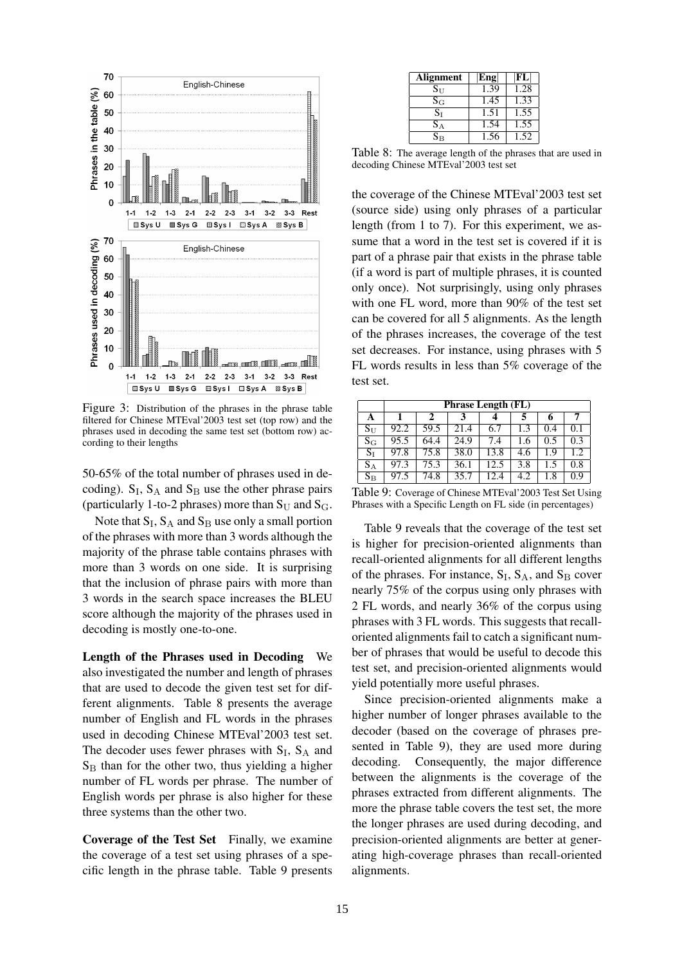

Figure 3: Distribution of the phrases in the phrase table filtered for Chinese MTEval'2003 test set (top row) and the phrases used in decoding the same test set (bottom row) according to their lengths

50-65% of the total number of phrases used in decoding).  $S_I$ ,  $S_A$  and  $S_B$  use the other phrase pairs (particularly 1-to-2 phrases) more than  $S_U$  and  $S_G$ .

Note that  $S_I$ ,  $S_A$  and  $S_B$  use only a small portion of the phrases with more than 3 words although the majority of the phrase table contains phrases with more than 3 words on one side. It is surprising that the inclusion of phrase pairs with more than 3 words in the search space increases the BLEU score although the majority of the phrases used in decoding is mostly one-to-one.

Length of the Phrases used in Decoding We also investigated the number and length of phrases that are used to decode the given test set for different alignments. Table 8 presents the average number of English and FL words in the phrases used in decoding Chinese MTEval'2003 test set. The decoder uses fewer phrases with  $S_I$ ,  $S_A$  and  $S_B$  than for the other two, thus yielding a higher number of FL words per phrase. The number of English words per phrase is also higher for these three systems than the other two.

Coverage of the Test Set Finally, we examine the coverage of a test set using phrases of a specific length in the phrase table. Table 9 presents

| <b>Alignment</b>          | Eng  | $ {\bf FL} $      |
|---------------------------|------|-------------------|
| $\mathrm{S}_{\mathrm{U}}$ | 1.39 | 1.28              |
| $\rm S_G$                 | 1.45 | 1.33              |
| $\rm S_I$                 | 1.51 | $1.5\overline{5}$ |
| $\rm S_{A}$               | 1.54 | 1.55              |
| $\rm S_{B}$               | 1.56 | 1.52              |

Table 8: The average length of the phrases that are used in decoding Chinese MTEval'2003 test set

the coverage of the Chinese MTEval'2003 test set (source side) using only phrases of a particular length (from 1 to 7). For this experiment, we assume that a word in the test set is covered if it is part of a phrase pair that exists in the phrase table (if a word is part of multiple phrases, it is counted only once). Not surprisingly, using only phrases with one FL word, more than 90% of the test set can be covered for all 5 alignments. As the length of the phrases increases, the coverage of the test set decreases. For instance, using phrases with 5 FL words results in less than 5% coverage of the test set.

|                         | <b>Phrase Length (FL)</b> |      |      |      |     |     |      |  |
|-------------------------|---------------------------|------|------|------|-----|-----|------|--|
| A                       |                           | 2    |      |      |     | 6   | 7    |  |
| $S_{\mathrm{U}}$        | 92.2                      | 59.5 | 21.4 | 6.7  | 1.3 | 0.4 | 0.1  |  |
| $\rm S_G$               | 95.5                      | 64.4 | 24.9 | 7.4  | 1.6 | 0.5 | 0.3  |  |
| $S_I$                   | 97.8                      | 75.8 | 38.0 | 13.8 | 4.6 | 1.9 | 1.2. |  |
| $\mathrm{S}_\mathrm{A}$ | 97.3                      | 75.3 | 36.1 | 12.5 | 3.8 | 1.5 | 0.8  |  |
| $S_{\rm B}$             | 97.5                      | 74.8 | 35.7 | 12.4 | 4.2 | 1.8 | 0.9  |  |

Table 9: Coverage of Chinese MTEval'2003 Test Set Using Phrases with a Specific Length on FL side (in percentages)

Table 9 reveals that the coverage of the test set is higher for precision-oriented alignments than recall-oriented alignments for all different lengths of the phrases. For instance,  $S_I$ ,  $S_A$ , and  $S_B$  cover nearly 75% of the corpus using only phrases with 2 FL words, and nearly 36% of the corpus using phrases with 3 FL words. This suggests that recalloriented alignments fail to catch a significant number of phrases that would be useful to decode this test set, and precision-oriented alignments would yield potentially more useful phrases.

Since precision-oriented alignments make a higher number of longer phrases available to the decoder (based on the coverage of phrases presented in Table 9), they are used more during decoding. Consequently, the major difference between the alignments is the coverage of the phrases extracted from different alignments. The more the phrase table covers the test set, the more the longer phrases are used during decoding, and precision-oriented alignments are better at generating high-coverage phrases than recall-oriented alignments.